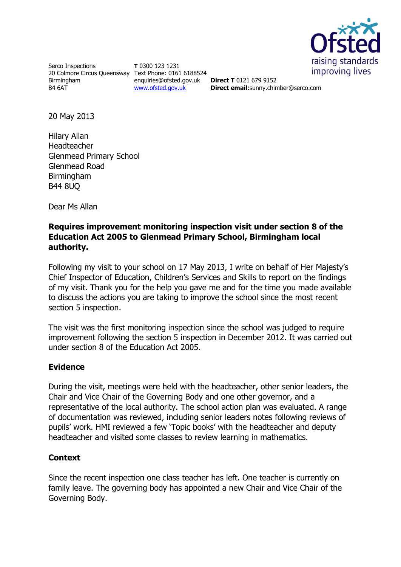

Serco Inspections 20 Colmore Circus Queensway Text Phone: 0161 6188524 Birmingham B4 6AT

**T** 0300 123 1231 enquiries@ofsted.gov.uk [www.ofsted.gov.uk](http://www.ofsted.gov.uk/)

**Direct T** 0121 679 9152 **Direct email**:sunny.chimber@serco.com

20 May 2013

Hilary Allan Headteacher Glenmead Primary School Glenmead Road Birmingham B44 8UQ

Dear Ms Allan

### **Requires improvement monitoring inspection visit under section 8 of the Education Act 2005 to Glenmead Primary School, Birmingham local authority.**

Following my visit to your school on 17 May 2013, I write on behalf of Her Majesty's Chief Inspector of Education, Children's Services and Skills to report on the findings of my visit. Thank you for the help you gave me and for the time you made available to discuss the actions you are taking to improve the school since the most recent section 5 inspection.

The visit was the first monitoring inspection since the school was judged to require improvement following the section 5 inspection in December 2012. It was carried out under section 8 of the Education Act 2005.

### **Evidence**

During the visit, meetings were held with the headteacher, other senior leaders, the Chair and Vice Chair of the Governing Body and one other governor, and a representative of the local authority. The school action plan was evaluated. A range of documentation was reviewed, including senior leaders notes following reviews of pupils' work. HMI reviewed a few 'Topic books' with the headteacher and deputy headteacher and visited some classes to review learning in mathematics.

# **Context**

Since the recent inspection one class teacher has left. One teacher is currently on family leave. The governing body has appointed a new Chair and Vice Chair of the Governing Body.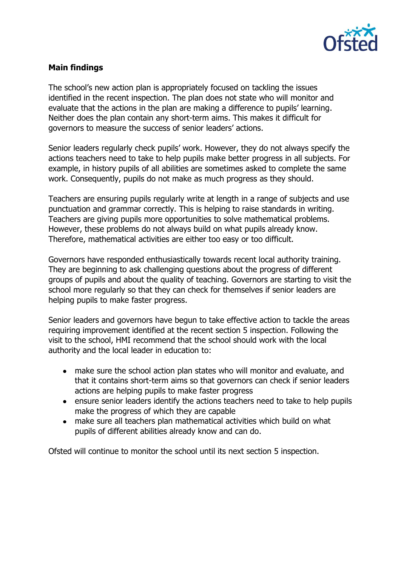

## **Main findings**

The school's new action plan is appropriately focused on tackling the issues identified in the recent inspection. The plan does not state who will monitor and evaluate that the actions in the plan are making a difference to pupils' learning. Neither does the plan contain any short-term aims. This makes it difficult for governors to measure the success of senior leaders' actions.

Senior leaders regularly check pupils' work. However, they do not always specify the actions teachers need to take to help pupils make better progress in all subjects. For example, in history pupils of all abilities are sometimes asked to complete the same work. Consequently, pupils do not make as much progress as they should.

Teachers are ensuring pupils regularly write at length in a range of subjects and use punctuation and grammar correctly. This is helping to raise standards in writing. Teachers are giving pupils more opportunities to solve mathematical problems. However, these problems do not always build on what pupils already know. Therefore, mathematical activities are either too easy or too difficult.

Governors have responded enthusiastically towards recent local authority training. They are beginning to ask challenging questions about the progress of different groups of pupils and about the quality of teaching. Governors are starting to visit the school more regularly so that they can check for themselves if senior leaders are helping pupils to make faster progress.

Senior leaders and governors have begun to take effective action to tackle the areas requiring improvement identified at the recent section 5 inspection. Following the visit to the school, HMI recommend that the school should work with the local authority and the local leader in education to:

- make sure the school action plan states who will monitor and evaluate, and that it contains short-term aims so that governors can check if senior leaders actions are helping pupils to make faster progress
- ensure senior leaders identify the actions teachers need to take to help pupils make the progress of which they are capable
- make sure all teachers plan mathematical activities which build on what pupils of different abilities already know and can do.

Ofsted will continue to monitor the school until its next section 5 inspection.